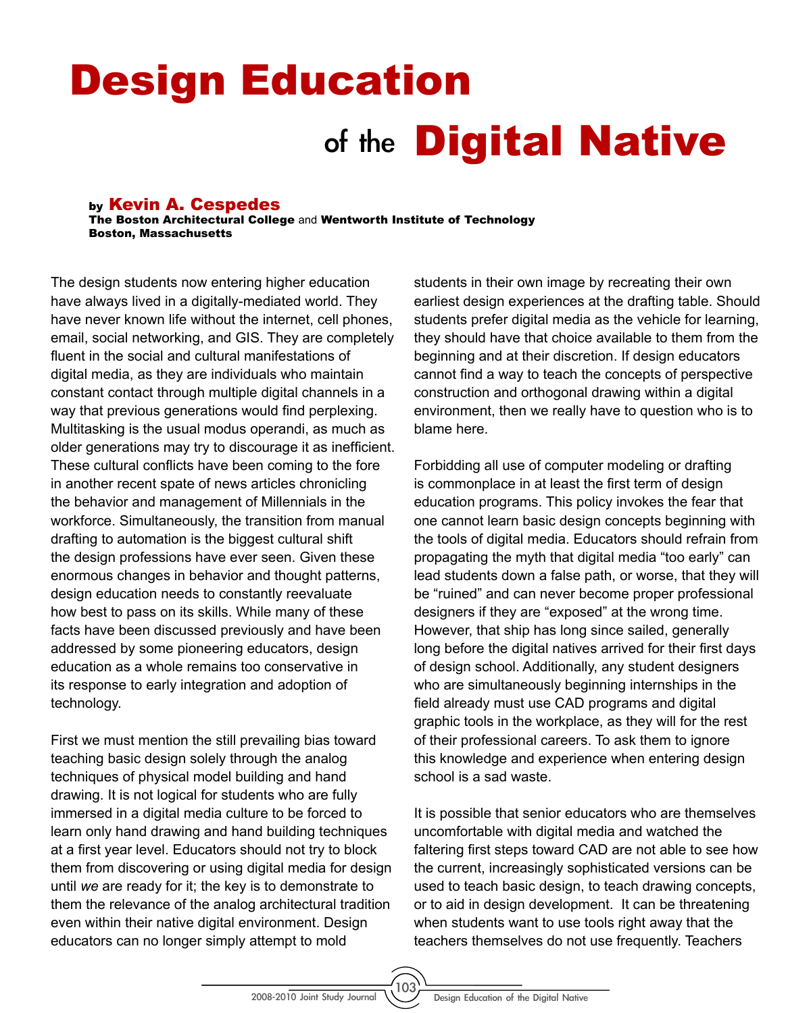## Design Education of the **Digital Native**

## by Kevin A. Cespedes

The Boston Architectural College and Wentworth Institute of Technology Boston, Massachusetts

The design students now entering higher education have always lived in a digitally-mediated world. They have never known life without the internet, cell phones, email, social networking, and GIS. They are completely fluent in the social and cultural manifestations of digital media, as they are individuals who maintain constant contact through multiple digital channels in a way that previous generations would find perplexing. Multitasking is the usual modus operandi, as much as older generations may try to discourage it as inefficient. These cultural conflicts have been coming to the fore in another recent spate of news articles chronicling the behavior and management of Millennials in the workforce. Simultaneously, the transition from manual drafting to automation is the biggest cultural shift the design professions have ever seen. Given these enormous changes in behavior and thought patterns, design education needs to constantly reevaluate how best to pass on its skills. While many of these facts have been discussed previously and have been addressed by some pioneering educators, design education as a whole remains too conservative in its response to early integration and adoption of technology.

First we must mention the still prevailing bias toward teaching basic design solely through the analog techniques of physical model building and hand drawing. It is not logical for students who are fully immersed in a digital media culture to be forced to learn only hand drawing and hand building techniques at a first year level. Educators should not try to block them from discovering or using digital media for design until *we* are ready for it; the key is to demonstrate to them the relevance of the analog architectural tradition even within their native digital environment. Design educators can no longer simply attempt to mold

students in their own image by recreating their own earliest design experiences at the drafting table. Should students prefer digital media as the vehicle for learning, they should have that choice available to them from the beginning and at their discretion. If design educators cannot find a way to teach the concepts of perspective construction and orthogonal drawing within a digital environment, then we really have to question who is to blame here.

Forbidding all use of computer modeling or drafting is commonplace in at least the first term of design education programs. This policy invokes the fear that one cannot learn basic design concepts beginning with the tools of digital media. Educators should refrain from propagating the myth that digital media "too early" can lead students down a false path, or worse, that they will be "ruined" and can never become proper professional designers if they are "exposed" at the wrong time. However, that ship has long since sailed, generally long before the digital natives arrived for their first days of design school. Additionally, any student designers who are simultaneously beginning internships in the field already must use CAD programs and digital graphic tools in the workplace, as they will for the rest of their professional careers. To ask them to ignore this knowledge and experience when entering design school is a sad waste.

It is possible that senior educators who are themselves uncomfortable with digital media and watched the faltering first steps toward CAD are not able to see how the current, increasingly sophisticated versions can be used to teach basic design, to teach drawing concepts, or to aid in design development. It can be threatening when students want to use tools right away that the teachers themselves do not use frequently. Teachers

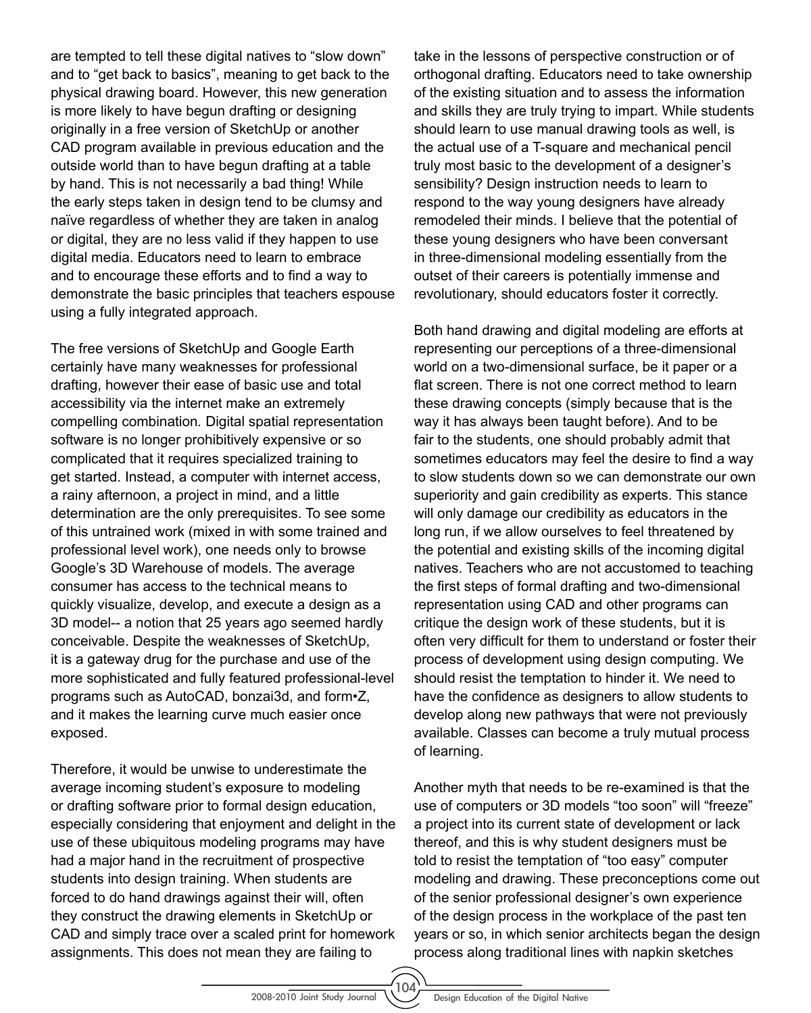are tempted to tell these digital natives to "slow down" and to "get back to basics", meaning to get back to the physical drawing board. However, this new generation is more likely to have begun drafting or designing originally in a free version of SketchUp or another CAD program available in previous education and the outside world than to have begun drafting at a table by hand. This is not necessarily a bad thing! While the early steps taken in design tend to be clumsy and naïve regardless of whether they are taken in analog or digital, they are no less valid if they happen to use digital media. Educators need to learn to embrace and to encourage these efforts and to find a way to demonstrate the basic principles that teachers espouse using a fully integrated approach.

The free versions of SketchUp and Google Earth certainly have many weaknesses for professional drafting, however their ease of basic use and total accessibility via the internet make an extremely compelling combination*.* Digital spatial representation software is no longer prohibitively expensive or so complicated that it requires specialized training to get started. Instead, a computer with internet access, a rainy afternoon, a project in mind, and a little determination are the only prerequisites. To see some of this untrained work (mixed in with some trained and professional level work), one needs only to browse Google's 3D Warehouse of models. The average consumer has access to the technical means to quickly visualize, develop, and execute a design as a 3D model-- a notion that 25 years ago seemed hardly conceivable. Despite the weaknesses of SketchUp, it is a gateway drug for the purchase and use of the more sophisticated and fully featured professional-level programs such as AutoCAD, bonzai3d, and form•Z, and it makes the learning curve much easier once exposed.

Therefore, it would be unwise to underestimate the average incoming student's exposure to modeling or drafting software prior to formal design education, especially considering that enjoyment and delight in the use of these ubiquitous modeling programs may have had a major hand in the recruitment of prospective students into design training. When students are forced to do hand drawings against their will, often they construct the drawing elements in SketchUp or CAD and simply trace over a scaled print for homework assignments. This does not mean they are failing to

take in the lessons of perspective construction or of orthogonal drafting. Educators need to take ownership of the existing situation and to assess the information and skills they are truly trying to impart. While students should learn to use manual drawing tools as well, is the actual use of a T-square and mechanical pencil truly most basic to the development of a designer's sensibility? Design instruction needs to learn to respond to the way young designers have already remodeled their minds. I believe that the potential of these young designers who have been conversant in three-dimensional modeling essentially from the outset of their careers is potentially immense and revolutionary, should educators foster it correctly.

Both hand drawing and digital modeling are efforts at representing our perceptions of a three-dimensional world on a two-dimensional surface, be it paper or a flat screen. There is not one correct method to learn these drawing concepts (simply because that is the way it has always been taught before). And to be fair to the students, one should probably admit that sometimes educators may feel the desire to find a way to slow students down so we can demonstrate our own superiority and gain credibility as experts. This stance will only damage our credibility as educators in the long run, if we allow ourselves to feel threatened by the potential and existing skills of the incoming digital natives. Teachers who are not accustomed to teaching the first steps of formal drafting and two-dimensional representation using CAD and other programs can critique the design work of these students, but it is often very difficult for them to understand or foster their process of development using design computing. We should resist the temptation to hinder it. We need to have the confidence as designers to allow students to develop along new pathways that were not previously available. Classes can become a truly mutual process of learning.

Another myth that needs to be re-examined is that the use of computers or 3D models "too soon" will "freeze" a project into its current state of development or lack thereof, and this is why student designers must be told to resist the temptation of "too easy" computer modeling and drawing. These preconceptions come out of the senior professional designer's own experience of the design process in the workplace of the past ten years or so, in which senior architects began the design process along traditional lines with napkin sketches

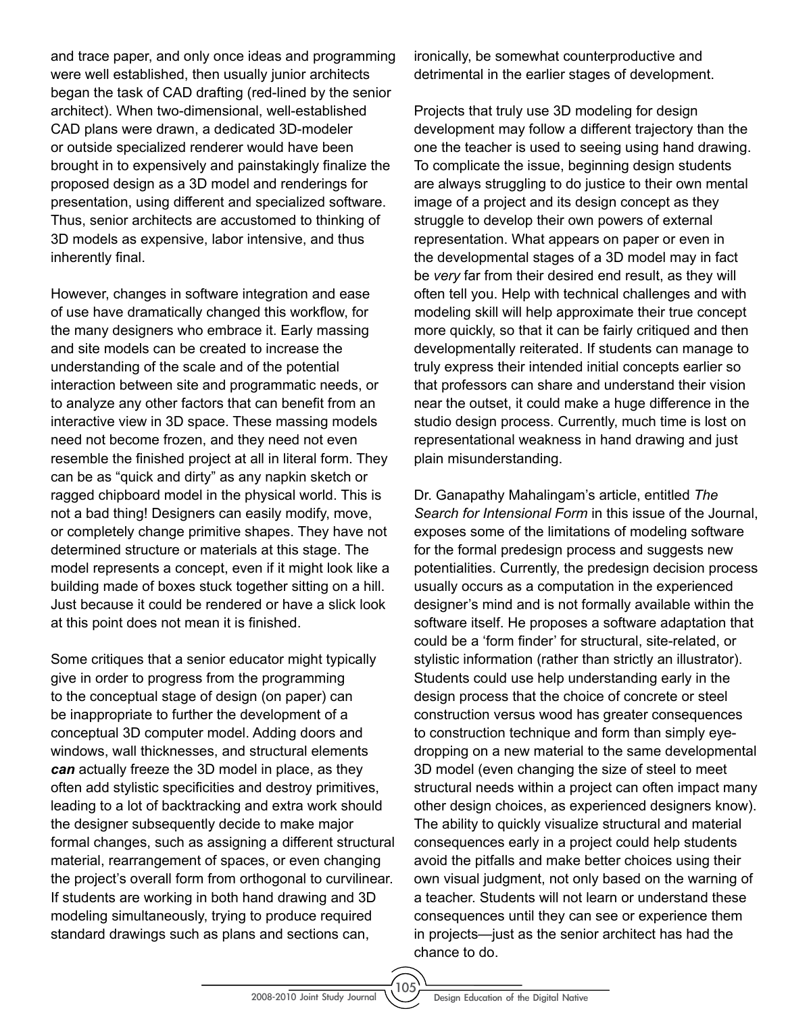and trace paper, and only once ideas and programming were well established, then usually junior architects began the task of CAD drafting (red-lined by the senior architect). When two-dimensional, well-established CAD plans were drawn, a dedicated 3D-modeler or outside specialized renderer would have been brought in to expensively and painstakingly finalize the proposed design as a 3D model and renderings for presentation, using different and specialized software. Thus, senior architects are accustomed to thinking of 3D models as expensive, labor intensive, and thus inherently final.

However, changes in software integration and ease of use have dramatically changed this workflow, for the many designers who embrace it. Early massing and site models can be created to increase the understanding of the scale and of the potential interaction between site and programmatic needs, or to analyze any other factors that can benefit from an interactive view in 3D space. These massing models need not become frozen, and they need not even resemble the finished project at all in literal form. They can be as "quick and dirty" as any napkin sketch or ragged chipboard model in the physical world. This is not a bad thing! Designers can easily modify, move, or completely change primitive shapes. They have not determined structure or materials at this stage. The model represents a concept, even if it might look like a building made of boxes stuck together sitting on a hill. Just because it could be rendered or have a slick look at this point does not mean it is finished.

Some critiques that a senior educator might typically give in order to progress from the programming to the conceptual stage of design (on paper) can be inappropriate to further the development of a conceptual 3D computer model. Adding doors and windows, wall thicknesses, and structural elements *can* actually freeze the 3D model in place, as they often add stylistic specificities and destroy primitives, leading to a lot of backtracking and extra work should the designer subsequently decide to make major formal changes, such as assigning a different structural material, rearrangement of spaces, or even changing the project's overall form from orthogonal to curvilinear. If students are working in both hand drawing and 3D modeling simultaneously, trying to produce required standard drawings such as plans and sections can,

ironically, be somewhat counterproductive and detrimental in the earlier stages of development.

Projects that truly use 3D modeling for design development may follow a different trajectory than the one the teacher is used to seeing using hand drawing. To complicate the issue, beginning design students are always struggling to do justice to their own mental image of a project and its design concept as they struggle to develop their own powers of external representation. What appears on paper or even in the developmental stages of a 3D model may in fact be *very* far from their desired end result, as they will often tell you. Help with technical challenges and with modeling skill will help approximate their true concept more quickly, so that it can be fairly critiqued and then developmentally reiterated. If students can manage to truly express their intended initial concepts earlier so that professors can share and understand their vision near the outset, it could make a huge difference in the studio design process. Currently, much time is lost on representational weakness in hand drawing and just plain misunderstanding.

Dr. Ganapathy Mahalingam's article, entitled *The Search for Intensional Form* in this issue of the Journal, exposes some of the limitations of modeling software for the formal predesign process and suggests new potentialities. Currently, the predesign decision process usually occurs as a computation in the experienced designer's mind and is not formally available within the software itself. He proposes a software adaptation that could be a 'form finder' for structural, site-related, or stylistic information (rather than strictly an illustrator). Students could use help understanding early in the design process that the choice of concrete or steel construction versus wood has greater consequences to construction technique and form than simply eyedropping on a new material to the same developmental 3D model (even changing the size of steel to meet structural needs within a project can often impact many other design choices, as experienced designers know). The ability to quickly visualize structural and material consequences early in a project could help students avoid the pitfalls and make better choices using their own visual judgment, not only based on the warning of a teacher. Students will not learn or understand these consequences until they can see or experience them in projects—just as the senior architect has had the chance to do.